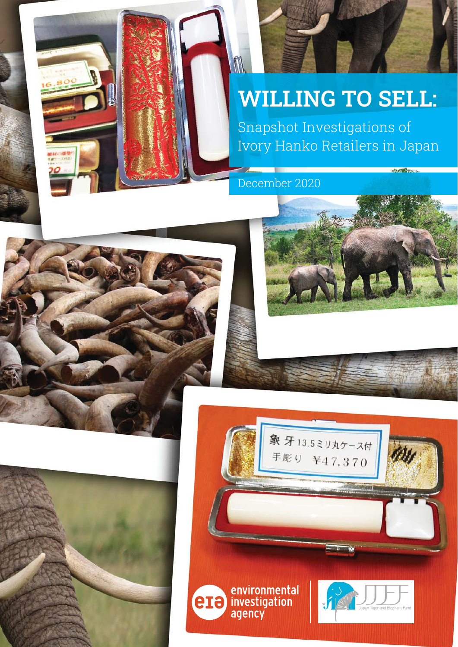# **WILLING TO SELL:**

Snapshot Investigations of Ivory Hanko Retailers in Japan

December 2020



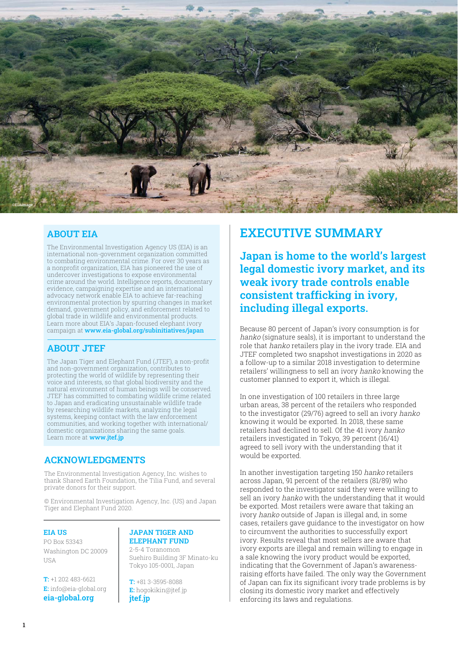

#### **ABOUT EIA**

The Environmental Investigation Agency US (EIA) is an international non-government organization committed to combating environmental crime. For over 30 years as a nonprofit organization, EIA has pioneered the use of undercover investigations to expose environmental crime around the world. Intelligence reports, documentary evidence, campaigning expertise and an international advocacy network enable EIA to achieve far-reaching environmental protection by spurring changes in market demand, government policy, and enforcement related to global trade in wildlife and environmental products. Learn more about EIA's Japan-focused elephant ivory campaign at www.eia-global.org/subinitiatives/japan

#### **ABOUT JTEF**

The Japan Tiger and Elephant Fund (JTEF), a non-profit and non-government organization, contributes to protecting the world of wildlife by representing their voice and interests, so that global biodiversity and the natural environment of human beings will be conserved. JTEF has committed to combating wildlife crime related to Japan and eradicating unsustainable wildlife trade by researching wildlife markets, analyzing the legal systems, keeping contact with the law enforcement communities, and working together with international/ domestic organizations sharing the same goals. Learn more at www.jtef.jp

#### **ACKNOWLEDGMENTS**

The Environmental Investigation Agency, Inc. wishes to thank Shared Earth Foundation, the Tilia Fund, and several private donors for their support.

© Environmental Investigation Agency, Inc. (US) and Japan Tiger and Elephant Fund 2020.

#### **EIA US**

PO Box 53343 Washington DC 20009 **IISA** 

**T:** +1 202 483-6621 **E:** info@eia-global.org **eia-global.org**

#### **JAPAN TIGER AND ELEPHANT FUND**

2-5-4 Toranomon Suehiro Building 3F Minato-ku Tokyo 105-0001, Japan

**T:** +81 3-3595-8088 **E:** hogokikin@jtef.jp **jtef.jp**

# **EXECUTIVE SUMMARY**

**Japan is home to the world's largest legal domestic ivory market, and its weak ivory trade controls enable consistent trafficking in ivory, including illegal exports.** 

Because 80 percent of Japan's ivory consumption is for hanko (signature seals), it is important to understand the role that hanko retailers play in the ivory trade. EIA and JTEF completed two snapshot investigations in 2020 as a follow-up to a similar 2018 investigation to determine retailers' willingness to sell an ivory hanko knowing the customer planned to export it, which is illegal.

In one investigation of 100 retailers in three large urban areas, 38 percent of the retailers who responded to the investigator (29/76) agreed to sell an ivory hanko knowing it would be exported. In 2018, these same retailers had declined to sell. Of the 41 ivory hanko retailers investigated in Tokyo, 39 percent (16/41) agreed to sell ivory with the understanding that it would be exported.

In another investigation targeting 150 hanko retailers across Japan, 91 percent of the retailers (81/89) who responded to the investigator said they were willing to sell an ivory hanko with the understanding that it would be exported. Most retailers were aware that taking an ivory hanko outside of Japan is illegal and, in some cases, retailers gave guidance to the investigator on how to circumvent the authorities to successfully export ivory. Results reveal that most sellers are aware that ivory exports are illegal and remain willing to engage in a sale knowing the ivory product would be exported, indicating that the Government of Japan's awarenessraising efforts have failed. The only way the Government of Japan can fix its significant ivory trade problems is by closing its domestic ivory market and effectively enforcing its laws and regulations.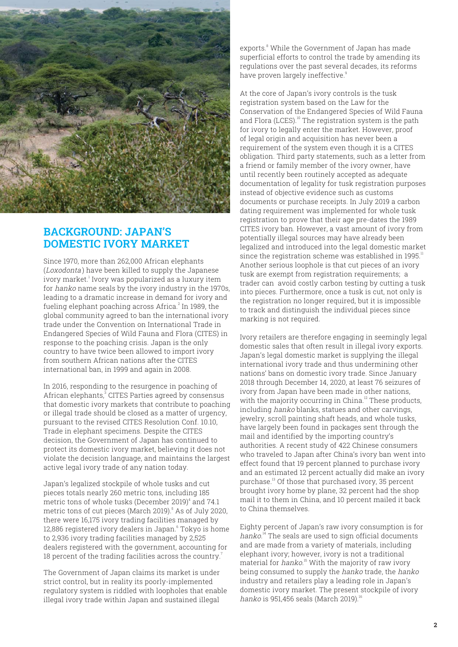

## **BACKGROUND: JAPAN'S DOMESTIC IVORY MARKET**

Since 1970, more than 262,000 African elephants (Loxodonta) have been killed to supply the Japanese ivory market.<sup>1</sup> Ivory was popularized as a luxury item for hanko name seals by the ivory industry in the 1970s, leading to a dramatic increase in demand for ivory and fueling elephant poaching across Africa. $^{\rm 2}$  In 1989, the global community agreed to ban the international ivory trade under the Convention on International Trade in Endangered Species of Wild Fauna and Flora (CITES) in response to the poaching crisis. Japan is the only country to have twice been allowed to import ivory from southern African nations after the CITES international ban, in 1999 and again in 2008.

In 2016, responding to the resurgence in poaching of African elephants, $^{\rm 3}$  CITES Parties agreed by consensus that domestic ivory markets that contribute to poaching or illegal trade should be closed as a matter of urgency, pursuant to the revised CITES Resolution Conf. 10.10, Trade in elephant specimens. Despite the CITES decision, the Government of Japan has continued to protect its domestic ivory market, believing it does not violate the decision language, and maintains the largest active legal ivory trade of any nation today.

Japan's legalized stockpile of whole tusks and cut pieces totals nearly 260 metric tons, including 185 metric tons of whole tusks (December 2019) $^{\rm 4}$  and 74.1 metric tons of cut pieces (March 2019). $^{\circ}$  As of July 2020, there were 16,175 ivory trading facilities managed by 12,886 registered ivory dealers in Japan.<sup>6</sup> Tokyo is home to 2,936 ivory trading facilities managed by 2,525 dealers registered with the government, accounting for 18 percent of the trading facilities across the country.<sup>7</sup>

The Government of Japan claims its market is under strict control, but in reality its poorly-implemented regulatory system is riddled with loopholes that enable illegal ivory trade within Japan and sustained illegal

exports.<sup>8</sup> While the Government of Japan has made superficial efforts to control the trade by amending its regulations over the past several decades, its reforms have proven largely ineffective.<sup>9</sup>

At the core of Japan's ivory controls is the tusk registration system based on the Law for the Conservation of the Endangered Species of Wild Fauna and Flora (LCES). $^{10}$  The registration system is the path for ivory to legally enter the market. However, proof of legal origin and acquisition has never been a requirement of the system even though it is a CITES obligation. Third party statements, such as a letter from a friend or family member of the ivory owner, have until recently been routinely accepted as adequate documentation of legality for tusk registration purposes instead of objective evidence such as customs documents or purchase receipts. In July 2019 a carbon dating requirement was implemented for whole tusk registration to prove that their age pre-dates the 1989 CITES ivory ban. However, a vast amount of ivory from potentially illegal sources may have already been legalized and introduced into the legal domestic market since the registration scheme was established in 1995.<sup>11</sup> Another serious loophole is that cut pieces of an ivory tusk are exempt from registration requirements; a trader can avoid costly carbon testing by cutting a tusk into pieces. Furthermore, once a tusk is cut, not only is the registration no longer required, but it is impossible to track and distinguish the individual pieces since marking is not required.

Ivory retailers are therefore engaging in seemingly legal domestic sales that often result in illegal ivory exports. Japan's legal domestic market is supplying the illegal international ivory trade and thus undermining other nations' bans on domestic ivory trade. Since January 2018 through December 14, 2020, at least 76 seizures of ivory from Japan have been made in other nations, with the majority occurring in China.<sup>12</sup> These products, including hanko blanks, statues and other carvings, jewelry, scroll painting shaft heads, and whole tusks, have largely been found in packages sent through the mail and identified by the importing country's authorities. A recent study of 422 Chinese consumers who traveled to Japan after China's ivory ban went into effect found that 19 percent planned to purchase ivory and an estimated 12 percent actually did make an ivory purchase.<sup>13</sup> Of those that purchased ivory, 35 percent brought ivory home by plane, 32 percent had the shop mail it to them in China, and 10 percent mailed it back to China themselves.

Eighty percent of Japan's raw ivory consumption is for hanko.<sup>14</sup> The seals are used to sign official documents and are made from a variety of materials, including elephant ivory; however, ivory is not a traditional material for *hanko*.<sup>15</sup> With the majority of raw ivory being consumed to supply the hanko trade, the hanko industry and retailers play a leading role in Japan's domestic ivory market. The present stockpile of ivory hanko is 951,456 seals (March 2019).<sup>16</sup>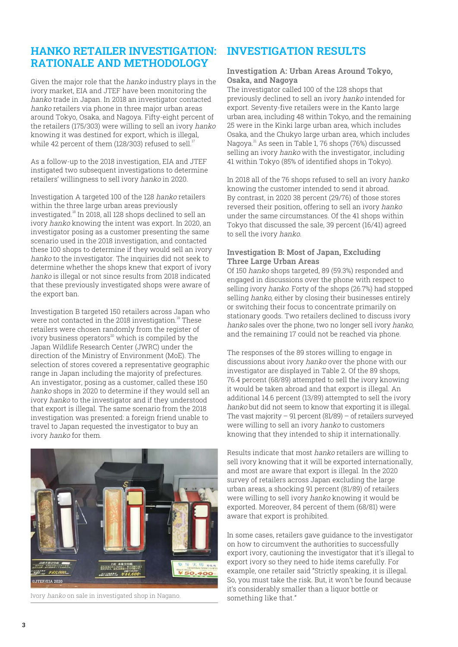## **HANKO RETAILER INVESTIGATION: RATIONALE AND METHODOLOGY**

Given the major role that the hanko industry plays in the ivory market, EIA and JTEF have been monitoring the hanko trade in Japan. In 2018 an investigator contacted hanko retailers via phone in three major urban areas around Tokyo, Osaka, and Nagoya. Fifty-eight percent of the retailers (175/303) were willing to sell an ivory hanko knowing it was destined for export, which is illegal, while 42 percent of them (128/303) refused to sell.<sup>1</sup>

As a follow-up to the 2018 investigation, EIA and JTEF instigated two subsequent investigations to determine retailers' willingness to sell ivory hanko in 2020.

Investigation A targeted 100 of the 128 hanko retailers within the three large urban areas previously investigated.<sup>18</sup> In 2018, all 128 shops declined to sell an ivory hanko knowing the intent was export. In 2020, an investigator posing as a customer presenting the same scenario used in the 2018 investigation, and contacted these 100 shops to determine if they would sell an ivory hanko to the investigator. The inquiries did not seek to determine whether the shops knew that export of ivory hanko is illegal or not since results from 2018 indicated that these previously investigated shops were aware of the export ban.

Investigation B targeted 150 retailers across Japan who were not contacted in the 2018 investigation.<sup>19</sup> These retailers were chosen randomly from the register of ivory business operators $20$  which is compiled by the Japan Wildlife Research Center (JWRC) under the direction of the Ministry of Environment (MoE). The selection of stores covered a representative geographic range in Japan including the majority of prefectures. An investigator, posing as a customer, called these 150 hanko shops in 2020 to determine if they would sell an ivory hanko to the investigator and if they understood that export is illegal. The same scenario from the 2018 investigation was presented: a foreign friend unable to travel to Japan requested the investigator to buy an ivory hanko for them.



Ivory hanko on sale in investigated shop in Nagano. Something like that."

### **INVESTIGATION RESULTS**

#### **Investigation A: Urban Areas Around Tokyo, Osaka, and Nagoya**

The investigator called 100 of the 128 shops that previously declined to sell an ivory hanko intended for export. Seventy-five retailers were in the Kanto large urban area, including 48 within Tokyo, and the remaining 25 were in the Kinki large urban area, which includes Osaka, and the Chukyo large urban area, which includes Nagoya.<sup>21</sup> As seen in Table 1, 76 shops (76%) discussed selling an ivory hanko with the investigator, including 41 within Tokyo (85% of identified shops in Tokyo).

In 2018 all of the 76 shops refused to sell an ivory hanko knowing the customer intended to send it abroad. By contrast, in 2020 38 percent (29/76) of those stores reversed their position, offering to sell an ivory hanko under the same circumstances. Of the 41 shops within Tokyo that discussed the sale, 39 percent (16/41) agreed to sell the ivory hanko.

#### **Investigation B: Most of Japan, Excluding Three Large Urban Areas**

Of 150 hanko shops targeted, 89 (59.3%) responded and engaged in discussions over the phone with respect to selling ivory *hanko*. Forty of the shops (26.7%) had stopped selling *hanko*, either by closing their businesses entirely or switching their focus to concentrate primarily on stationary goods. Two retailers declined to discuss ivory hanko sales over the phone, two no longer sell ivory hanko, and the remaining 17 could not be reached via phone.

The responses of the 89 stores willing to engage in discussions about ivory hanko over the phone with our investigator are displayed in Table 2. Of the 89 shops, 76.4 percent (68/89) attempted to sell the ivory knowing it would be taken abroad and that export is illegal. An additional 14.6 percent (13/89) attempted to sell the ivory hanko but did not seem to know that exporting it is illegal. The vast majority  $-91$  percent (81/89)  $-$  of retailers surveyed were willing to sell an ivory hanko to customers knowing that they intended to ship it internationally.

Results indicate that most hanko retailers are willing to sell ivory knowing that it will be exported internationally, and most are aware that export is illegal. In the 2020 survey of retailers across Japan excluding the large urban areas, a shocking 91 percent (81/89) of retailers were willing to sell ivory hanko knowing it would be exported. Moreover, 84 percent of them (68/81) were aware that export is prohibited.

In some cases, retailers gave guidance to the investigator on how to circumvent the authorities to successfully export ivory, cautioning the investigator that it's illegal to export ivory so they need to hide items carefully. For example, one retailer said "Strictly speaking, it is illegal. So, you must take the risk. But, it won't be found because it's considerably smaller than a liquor bottle or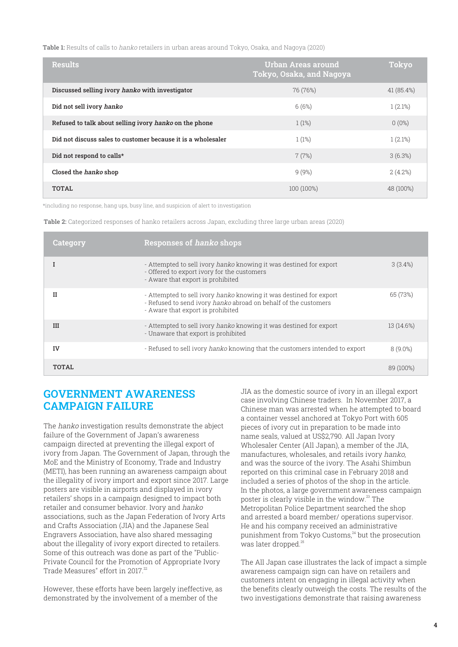**Table 1:** Results of calls to hanko retailers in urban areas around Tokyo, Osaka, and Nagoya (2020)

| <b>Results</b>                                               | <b>Urban Areas around</b><br>Tokyo, Osaka, and Nagoya | <b>Tokyo</b> |
|--------------------------------------------------------------|-------------------------------------------------------|--------------|
| Discussed selling ivory hanko with investigator              | 76 (76%)                                              | 41 (85.4%)   |
| Did not sell ivory hanko                                     | 6(6%)                                                 | 1(2.1%)      |
| Refused to talk about selling ivory hanko on the phone       | 1(1%)                                                 | $0(0\%)$     |
| Did not discuss sales to customer because it is a wholesaler | 1(1%)                                                 | 1(2.1%)      |
| Did not respond to calls*                                    | 7(7%)                                                 | 3(6.3%)      |
| Closed the <i>hanko</i> shop                                 | 9(9%)                                                 | 2(4.2%)      |
| TOTAI.                                                       | 100 (100%)                                            | 48 (100%)    |

\*including no response, hang ups, busy line, and suspicion of alert to investigation

**Table 2:** Categorized responses of hanko retailers across Japan, excluding three large urban areas (2020)

| Category   | <b>Responses of hanko shops</b>                                                                                                                                            |            |
|------------|----------------------------------------------------------------------------------------------------------------------------------------------------------------------------|------------|
|            | - Attempted to sell ivory hanko knowing it was destined for export<br>- Offered to export ivory for the customers<br>- Aware that export is prohibited                     | 3(3.4%)    |
| н          | - Attempted to sell ivory hanko knowing it was destined for export<br>- Refused to send ivory hanko abroad on behalf of the customers<br>- Aware that export is prohibited | 65 (73%)   |
| <b>III</b> | - Attempted to sell ivory hanko knowing it was destined for export<br>- Unaware that export is prohibited                                                                  | 13 (14.6%) |
| IV         | - Refused to sell ivory hanko knowing that the customers intended to export                                                                                                | $8(9.0\%)$ |
| TOTAI.     |                                                                                                                                                                            | 89 (100%)  |

## **GOVERNMENT AWARENESS CAMPAIGN FAILURE**

The hanko investigation results demonstrate the abject failure of the Government of Japan's awareness campaign directed at preventing the illegal export of ivory from Japan. The Government of Japan, through the MoE and the Ministry of Economy, Trade and Industry (METI), has been running an awareness campaign about the illegality of ivory import and export since 2017. Large posters are visible in airports and displayed in ivory retailers' shops in a campaign designed to impact both retailer and consumer behavior. Ivory and hanko associations, such as the Japan Federation of Ivory Arts and Crafts Association (JIA) and the Japanese Seal Engravers Association, have also shared messaging about the illegality of ivory export directed to retailers. Some of this outreach was done as part of the "Public-Private Council for the Promotion of Appropriate Ivory Trade Measures" effort in 2017.<sup>22</sup>

However, these efforts have been largely ineffective, as demonstrated by the involvement of a member of the

JIA as the domestic source of ivory in an illegal export case involving Chinese traders. In November 2017, a Chinese man was arrested when he attempted to board a container vessel anchored at Tokyo Port with 605 pieces of ivory cut in preparation to be made into name seals, valued at US\$2,790. All Japan Ivory Wholesaler Center (All Japan), a member of the JIA, manufactures, wholesales, and retails ivory hanko, and was the source of the ivory. The Asahi Shimbun reported on this criminal case in February 2018 and included a series of photos of the shop in the article. In the photos, a large government awareness campaign poster is clearly visible in the window.<sup>23</sup> The Metropolitan Police Department searched the shop and arrested a board member/ operations supervisor. He and his company received an administrative punishment from Tokyo Customs, $^{24}$  but the prosecution was later dropped.<sup>25</sup>

The All Japan case illustrates the lack of impact a simple awareness campaign sign can have on retailers and customers intent on engaging in illegal activity when the benefits clearly outweigh the costs. The results of the two investigations demonstrate that raising awareness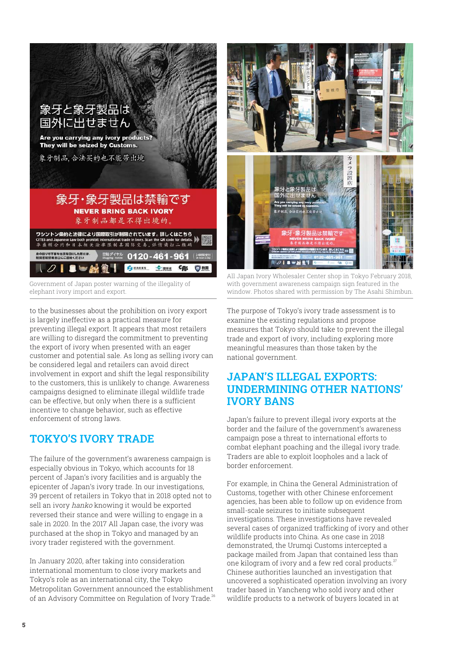

Government of Japan poster warning of the illegality of elephant ivory import and export.

to the businesses about the prohibition on ivory export is largely ineffective as a practical measure for preventing illegal export. It appears that most retailers are willing to disregard the commitment to preventing the export of ivory when presented with an eager customer and potential sale. As long as selling ivory can be considered legal and retailers can avoid direct involvement in export and shift the legal responsibility to the customers, this is unlikely to change. Awareness campaigns designed to eliminate illegal wildlife trade can be effective, but only when there is a sufficient incentive to change behavior, such as effective enforcement of strong laws.

## **TOKYO'S IVORY TRADE**

The failure of the government's awareness campaign is especially obvious in Tokyo, which accounts for 18 percent of Japan's ivory facilities and is arguably the epicenter of Japan's ivory trade. In our investigations, 39 percent of retailers in Tokyo that in 2018 opted not to sell an ivory hanko knowing it would be exported reversed their stance and were willing to engage in a sale in 2020. In the 2017 All Japan case, the ivory was purchased at the shop in Tokyo and managed by an ivory trader registered with the government.

In January 2020, after taking into consideration international momentum to close ivory markets and Tokyo's role as an international city, the Tokyo Metropolitan Government announced the establishment of an Advisory Committee on Regulation of Ivory Trade.<sup>26</sup>



All Japan Ivory Wholesaler Center shop in Tokyo February 2018, with government awareness campaign sign featured in the window. Photos shared with permission by The Asahi Shimbun.

The purpose of Tokyo's ivory trade assessment is to examine the existing regulations and propose measures that Tokyo should take to prevent the illegal trade and export of ivory, including exploring more meaningful measures than those taken by the national government.

## **JAPAN'S ILLEGAL EXPORTS: UNDERMINING OTHER NATIONS' IVORY BANS**

Japan's failure to prevent illegal ivory exports at the border and the failure of the government's awareness campaign pose a threat to international efforts to combat elephant poaching and the illegal ivory trade. Traders are able to exploit loopholes and a lack of border enforcement.

For example, in China the General Administration of Customs, together with other Chinese enforcement agencies, has been able to follow up on evidence from small-scale seizures to initiate subsequent investigations. These investigations have revealed several cases of organized trafficking of ivory and other wildlife products into China. As one case in 2018 demonstrated, the Urumqi Customs intercepted a package mailed from Japan that contained less than one kilogram of ivory and a few red coral products.<sup>27</sup> Chinese authorities launched an investigation that uncovered a sophisticated operation involving an ivory trader based in Yancheng who sold ivory and other wildlife products to a network of buyers located in at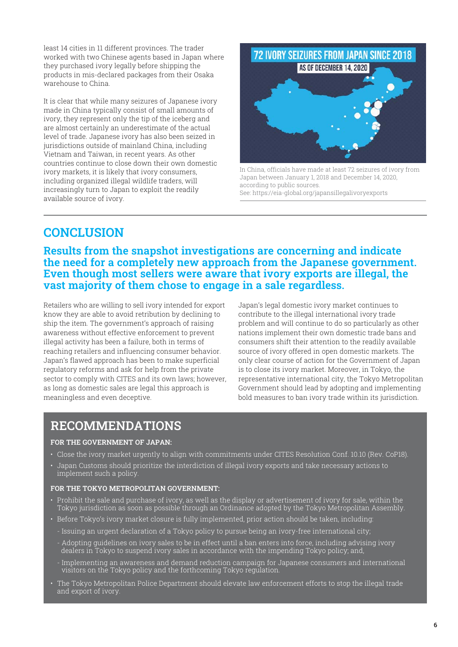least 14 cities in 11 different provinces. The trader worked with two Chinese agents based in Japan where they purchased ivory legally before shipping the products in mis-declared packages from their Osaka warehouse to China.

It is clear that while many seizures of Japanese ivory made in China typically consist of small amounts of ivory, they represent only the tip of the iceberg and are almost certainly an underestimate of the actual level of trade. Japanese ivory has also been seized in jurisdictions outside of mainland China, including Vietnam and Taiwan, in recent years. As other countries continue to close down their own domestic ivory markets, it is likely that ivory consumers, including organized illegal wildlife traders, will increasingly turn to Japan to exploit the readily available source of ivory.



In China, officials have made at least 72 seizures of ivory from Japan between January 1, 2018 and December 14, 2020, according to public sources. See: https://eia-global.org/japansillegalivoryexports

# **CONCLUSION**

**Results from the snapshot investigations are concerning and indicate the need for a completely new approach from the Japanese government. Even though most sellers were aware that ivory exports are illegal, the vast majority of them chose to engage in a sale regardless.**

Retailers who are willing to sell ivory intended for export know they are able to avoid retribution by declining to ship the item. The government's approach of raising awareness without effective enforcement to prevent illegal activity has been a failure, both in terms of reaching retailers and influencing consumer behavior. Japan's flawed approach has been to make superficial regulatory reforms and ask for help from the private sector to comply with CITES and its own laws; however, as long as domestic sales are legal this approach is meaningless and even deceptive.

Japan's legal domestic ivory market continues to contribute to the illegal international ivory trade problem and will continue to do so particularly as other nations implement their own domestic trade bans and consumers shift their attention to the readily available source of ivory offered in open domestic markets. The only clear course of action for the Government of Japan is to close its ivory market. Moreover, in Tokyo, the representative international city, the Tokyo Metropolitan Government should lead by adopting and implementing bold measures to ban ivory trade within its jurisdiction.

## **RECOMMENDATIONS**

#### **FOR THE GOVERNMENT OF JAPAN:**

- Close the ivory market urgently to align with commitments under CITES Resolution Conf. 10.10 (Rev. CoP18).
- Japan Customs should prioritize the interdiction of illegal ivory exports and take necessary actions to implement such a policy.

#### **FOR THE TOKYO METROPOLITAN GOVERNMENT:**

- Prohibit the sale and purchase of ivory, as well as the display or advertisement of ivory for sale, within the Tokyo jurisdiction as soon as possible through an Ordinance adopted by the Tokyo Metropolitan Assembly.
- Before Tokyo's ivory market closure is fully implemented, prior action should be taken, including:
	- Issuing an urgent declaration of a Tokyo policy to pursue being an ivory-free international city;
	- Adopting guidelines on ivory sales to be in effect until a ban enters into force, including advising ivory dealers in Tokyo to suspend ivory sales in accordance with the impending Tokyo policy; and,
	- Implementing an awareness and demand reduction campaign for Japanese consumers and international visitors on the Tokyo policy and the forthcoming Tokyo regulation.
- The Tokyo Metropolitan Police Department should elevate law enforcement efforts to stop the illegal trade and export of ivory.